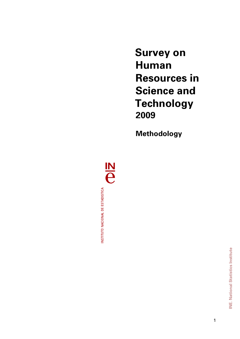**Survey on Human Resources in Science and Technology 2009**

**Methodology** 

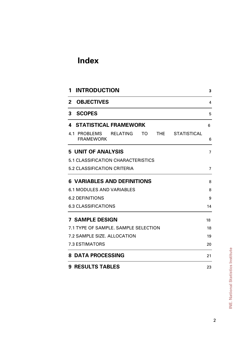# **Index**

| <b>INTRODUCTION</b><br>1                                                                      | 3              |
|-----------------------------------------------------------------------------------------------|----------------|
| <b>OBJECTIVES</b><br>$\mathbf{2}$                                                             | 4              |
| 3<br><b>SCOPES</b>                                                                            | 5              |
| <b>STATISTICAL FRAMEWORK</b><br>4                                                             | 6              |
| <b>STATISTICAL</b><br>4.1 PROBLEMS<br><b>RELATING</b><br>TΩ<br><b>THE</b><br><b>FRAMEWORK</b> | 6              |
| <b>5 UNIT OF ANALYSIS</b>                                                                     | $\overline{7}$ |
| <b>5.1 CLASSIFICATION CHARACTERISTICS</b>                                                     |                |
| <b>5.2 CLASSIFICATION CRITERIA</b>                                                            | 7              |
| <b>6 VARIABLES AND DEFINITIONS</b>                                                            | 8              |
| <b>6.1 MODULES AND VARIABLES</b>                                                              | 8              |
| <b>6.2 DEFINITIONS</b>                                                                        | 9              |
| <b>6.3 CLASSIFICATIONS</b>                                                                    | 14             |
| <b>7 SAMPLE DESIGN</b>                                                                        | 18             |
| 7.1 TYPE OF SAMPLE, SAMPLE SELECTION                                                          | 18             |
| 7.2 SAMPLE SIZE, ALLOCATION                                                                   | 19             |
| <b>7.3 ESTIMATORS</b>                                                                         | 20             |
| <b>8 DATA PROCESSING</b>                                                                      | 21             |
| <b>9 RESULTS TABLES</b>                                                                       | 23             |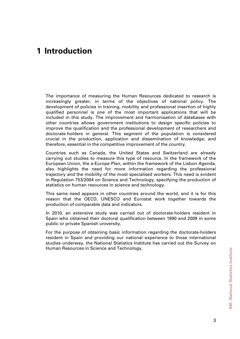# **1 Introduction**

The importance of measuring the Human Resources dedicated to research is increasingly greater, in terms of the objectives of national policy. The development of policies in training, mobility and professional insertion of highly qualified personnel is one of the most important applications that will be included in this study. The improvement and harmonisation of databases with other countries allows government institutions to design specific policies to improve the qualification and the professional development of researchers and doctorate-holders in general. This segment of the population is considered crucial in the production, application and dissemination of knowledge, and therefore, essential in the competitive improvement of the country.

Countries such as Canada, the United States and Switzerland are already carrying out studies to measure this type of resource. In the framework of the European Union, the e-Europe Plan, within the framework of the Lisbon Agenda, also highlights the need for more information regarding the professional trajectory and the mobility of the most specialised workers. This need is evident in Regulation 753/2004 on Science and Technology, specifying the production of statistics on human resources in science and technology.

This same need appears in other countries around the world, and it is for this reason that the OECD, UNESCO and Eurostat work together towards the production of comparable data and indicators.

In 2010, an extensive study was carried out of doctorate-holders resident in Spain who obtained their doctoral qualification between 1990 and 2009 in some public or private Spanish university.

For the purpose of obtaining basic information regarding the doctorate-holders resident in Spain and providing our national experience to those international studies underway, the National Statistics Institute has carried out the Survey on Human Resources in Science and Technology.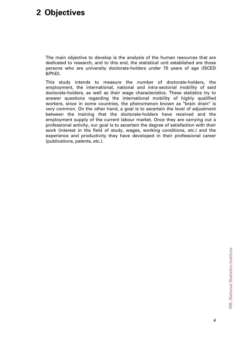# **2 Objectives**

The main objective to develop is the analysis of the human resources that are dedicated to research, and to this end, the statistical unit established are those persons who are university doctorate-holders under 70 years of age (ISCED 6/PhD).

This study intends to measure the number of doctorate-holders, the employment, the international, national and intra-sectorial mobility of said doctorate-holders, as well as their wage characteristics. These statistics try to answer questions regarding the international mobility of highly qualified workers, since in some countries, the phenomenon known as "brain drain" is very common. On the other hand, a goal is to ascertain the level of adjustment between the training that the doctorate-holders have received and the employment supply of the current labour market. Once they are carrying out a professional activity, our goal is to ascertain the degree of satisfaction with their work (interest in the field of study, wages, working conditions, etc.) and the experience and productivity they have developed in their professional career (publications, patents, etc.).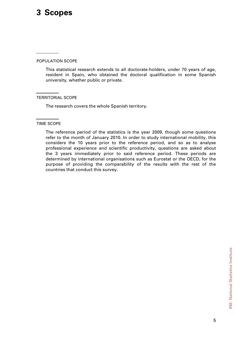# **3 Scopes**

## POPULATION SCOPE

This statistical research extends to all doctorate-holders, under 70 years of age, resident in Spain, who obtained the doctoral qualification in some Spanish university, whether public or private.

## TERRITORIAL SCOPE

The research covers the whole Spanish territory.

#### TIME SCOPE

The reference period of the statistics is the year 2009, though some questions refer to the month of January 2010. In order to study international mobility, this considers the 10 years prior to the reference period, and so as to analyse professional experience and scientific productivity, questions are asked about the 3 years immediately prior to said reference period. These periods are determined by international organisations such as Eurostat or the OECD, for the purpose of providing the comparability of the results with the rest of the countries that conduct this survey.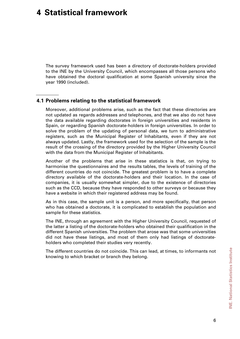# **4 Statistical framework**

The survey framework used has been a directory of doctorate-holders provided to the INE by the University Council, which encompasses all those persons who have obtained the doctoral qualification at some Spanish university since the year 1990 (included).

## **4.1 Problems relating to the statistical framework**

Moreover, additional problems arise, such as the fact that these directories are not updated as regards addresses and telephones, and that we also do not have the data available regarding doctorates in foreign universities and residents in Spain, or regarding Spanish doctorate-holders in foreign universities. In order to solve the problem of the updating of personal data, we turn to administrative registers, such as the Municipal Register of Inhabitants, even if they are not always updated. Lastly, the framework used for the selection of the sample is the result of the crossing of the directory provided by the Higher University Council with the data from the Municipal Register of Inhabitants.

Another of the problems that arise in these statistics is that, on trying to harmonise the questionnaires and the results tables, the levels of training of the different countries do not coincide. The greatest problem is to have a complete directory available of the doctorate-holders and their location. In the case of companies, it is usually somewhat simpler, due to the existence of directories such as the CCD, because they have responded to other surveys or because they have a website in which their registered address may be found.

As in this case, the sample unit is a person, and more specifically, that person who has obtained a doctorate, it is complicated to establish the population and sample for these statistics.

The INE, through an agreement with the Higher University Council, requested of the latter a listing of the doctorate-holders who obtained their qualification in the different Spanish universities. The problem that arose was that some universities did not have these listings, and most of them only had listings of doctorateholders who completed their studies very recently.

The different countries do not coincide. This can lead, at times, to informants not knowing to which bracket or branch they belong.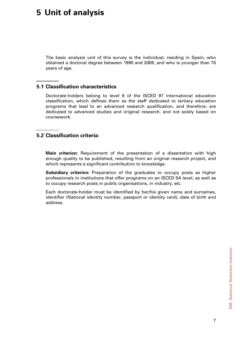# **5 Unit of analysis**

The basic analysis unit of this survey is the individual, residing in Spain, who obtained a doctoral degree between 1990 and 2009, and who is younger than 70 years of age.

## **5.1 Classification characteristics**

Doctorate-holders belong to level 6 of the ISCED 97 international education classification, which defines them as the staff dedicated to tertiary education programs that lead to an advanced research qualification, and therefore, are dedicated to advanced studies and original research, and not solely based on coursework.

## **5.2 Classification criteria:**

**Main criterion:** Requirement of the presentation of a dissertation with high enough quality to be published, resulting from an original research project, and which represents a significant contribution to knowledge.

**Subsidiary criterion:** Preparation of the graduates to occupy posts as higher professionals in institutions that offer programs on an ISCED 5A level, as well as to occupy research posts in public organisations, in industry, etc.

Each doctorate-holder must be identified by her/his given name and surnames, identifier (National identity number, passport or identity card), date of birth and address.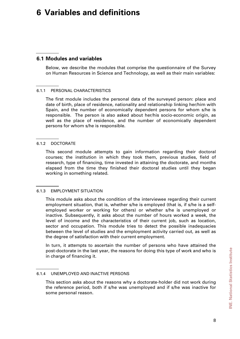# **6 Variables and definitions**

## **6.1 Modules and variables**

Below, we describe the modules that comprise the questionnaire of the Survey on Human Resources in Science and Technology, as well as their main variables:

## 6.1.1 PERSONAL CHARACTERISTICS

The first module includes the personal data of the surveyed person: place and date of birth, place of residence, nationality and relationship linking her/him with Spain, and the number of economically dependent persons for whom s/he is responsible. The person is also asked about her/his socio-economic origin, as well as the place of residence, and the number of economically dependent persons for whom s/he is responsible.

## 6.1.2 DOCTORATE

This second module attempts to gain information regarding their doctoral courses; the institution in which they took them, previous studies, field of research, type of financing, time invested in attaining the doctorate, and months elapsed from the time they finished their doctoral studies until they began working in something related.

## 6.1.3 EMPLOYMENT SITUATION

This module asks about the condition of the interviewee regarding their current employment situation, that is, whether s/he is employed (that is, if s/he is a selfemployed worker or working for others) or whether s/he is unemployed or inactive. Subsequently, it asks about the number of hours worked a week, the level of income and the characteristics of their current job, such as location, sector and occupation. This module tries to detect the possible inadequacies between the level of studies and the employment activity carried out, as well as the degree of satisfaction with their current employment.

In turn, it attempts to ascertain the number of persons who have attained the post-doctorate in the last year, the reasons for doing this type of work and who is in charge of financing it.

6.1.4 UNEMPLOYED AND INACTIVE PERSONS

This section asks about the reasons why a doctorate-holder did not work during the reference period, both if s/he was unemployed and if s/he was inactive for some personal reason.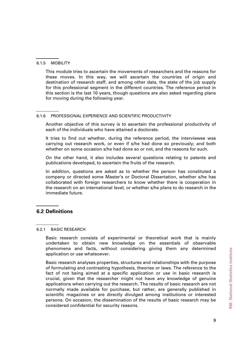#### 6.1.5 MOBILITY

This module tries to ascertain the movements of researchers and the reasons for these moves. In this way, we will ascertain the countries of origin and destination of research staff, and among other data, the state of the job supply for this professional segment in the different countries. The reference period in this section is the last 10 years, though questions are also asked regarding plans for moving during the following year.

## 6.1.6 PROFESSIONAL EXPERIENCE AND SCIENTIFIC PRODUCTIVITY

Another objective of this survey is to ascertain the professional productivity of each of the individuals who have attained a doctorate.

It tries to find out whether, during the reference period, the interviewee was carrying out research work, or even if s/he had done so previously; and both whether on some occasion s/he had done so or not, and the reasons for such.

On the other hand, it also includes several questions relating to patents and publications developed, to ascertain the fruits of the research.

In addition, questions are asked as to whether the person has constituted a company or directed some Master's or Doctoral Dissertation, whether s/he has collaborated with foreign researchers to know whether there is cooperation in the research on an international level, or whether s/he plans to do research in the immediate future.

## **6.2 Definitions**

## 6.2.1 BASIC RESEARCH

Basic research consists of experimental or theoretical work that is mainly undertaken to obtain new knowledge on the essentials of observable phenomena and facts, without considering giving them any determined application or use whatsoever.

Basic research analyses properties, structures and relationships with the purpose of formulating and contrasting hypothesis, theories or laws. The reference to the fact of not being aimed at a specific application or use in basic research is crucial, given that the researcher might not have any knowledge of genuine applications when carrying out the research. The results of basic research are not normally made available for purchase, but rather, are generally published in scientific magazines or are directly divulged among institutions or interested persons. On occasion, the dissemination of the results of basic research may be considered confidential for security reasons.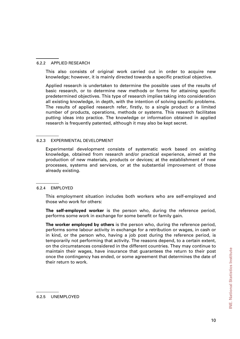#### 6.2.2 APPLIED RESEARCH

This also consists of original work carried out in order to acquire new knowledge; however, it is mainly directed towards a specific practical objective.

Applied research is undertaken to determine the possible uses of the results of basic research, or to determine new methods or forms for attaining specific predetermined objectives. This type of research implies taking into consideration all existing knowledge, in depth, with the intention of solving specific problems. The results of applied research refer, firstly, to a single product or a limited number of products, operations, methods or systems. This research facilitates putting ideas into practice. The knowledge or information obtained in applied research is frequently patented, although it may also be kept secret.

#### 6.2.3 EXPERIMENTAL DEVELOPMENT

Experimental development consists of systematic work based on existing knowledge, obtained from research and/or practical experience, aimed at the production of new materials, products or devices; at the establishment of new processes, systems and services, or at the substantial improvement of those already existing.

#### 6.2.4 EMPLOYED

This employment situation includes both workers who are self-employed and those who work for others:

**The self-employed worker** is the person who, during the reference period, performs some work in exchange for some benefit or family gain.

**The worker employed by others** is the person who, during the reference period, performs some labour activity in exchange for a retribution or wages, in cash or in kind, or the person who, having a job post during the reference period, is temporarily not performing that activity. The reasons depend, to a certain extent, on the circumstances considered in the different countries. They may continue to maintain their wages, have insurance that guarantees the return to their post once the contingency has ended, or some agreement that determines the date of their return to work.

<sup>6.2.5</sup> UNEMPLOYED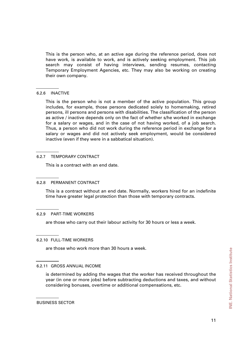This is the person who, at an active age during the reference period, does not have work, is available to work, and is actively seeking employment. This job search may consist of having interviews, sending resumes, contacting Temporary Employment Agencies, etc. They may also be working on creating their own company.

#### 6.2.6 INACTIVE

This is the person who is not a member of the active population. This group includes, for example, those persons dedicated solely to homemaking, retired persons, ill persons and persons with disabilities. The classification of the person as active / inactive depends only on the fact of whether s/he worked in exchange for a salary or wages, and in the case of not having worked, of a job search. Thus, a person who did not work during the reference period in exchange for a salary or wages and did not actively seek employment, would be considered inactive (even if they were in a sabbatical situation).

## 6.2.7 TEMPORARY CONTRACT

This is a contract with an end date.

## 6.2.8 PERMANENT CONTRACT

This is a contract without an end date. Normally, workers hired for an indefinite time have greater legal protection than those with temporary contracts.

## 6.2.9 PART-TIME WORKERS

are those who carry out their labour activity for 30 hours or less a week.

6.2.10 FULL-TIME WORKERS

are those who work more than 30 hours a week.

## 6.2.11 GROSS ANNUAL INCOME

is determined by adding the wages that the worker has received throughout the year (in one or more jobs) before subtracting deductions and taxes, and without considering bonuses, overtime or additional compensations, etc.

BUSINESS SECTOR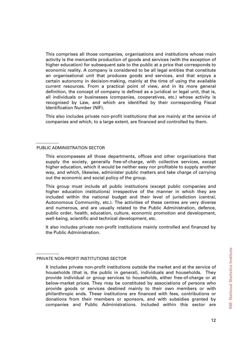This comprises all those companies, organisations and institutions whose main activity is the mercantile production of goods and services (with the exception of higher education) for subsequent sale to the public at a price that corresponds to economic reality. A company is considered to be all legal entities that constitute an organisational unit that produces goods and services, and that enjoys a certain autonomy in decision-making, mainly at the time of using the available current resources. From a practical point of view, and in its more general definition, the concept of company is defined as a juridical or legal unit, that is, all individuals or businesses (companies, cooperatives, etc.) whose activity is recognised by Law, and which are identified by their corresponding Fiscal Identification Number (NIF).

This also includes private non-profit institutions that are mainly at the service of companies and which, to a large extent, are financed and controlled by them.

#### PUBLIC ADMINISTRATION SECTOR

This group must include all public institutions (except public companies and higher education institutions) irrespective of the manner in which they are included within the national budget and their level of jurisdiction (central, Autonomous Community, etc.). The activities of these centres are very diverse and numerous, and are usually related to the Public Administration, defence, public order, health, education, culture, economic promotion and development, well-being, scientific and technical development, etc.

It also includes private non-profit institutions mainly controlled and financed by the Public Administration.

This encompasses all those departments, offices and other organisations that supply the society, generally free-of-charge, with collective services, except higher education, which it would be neither easy nor profitable to supply another way, and which, likewise, administer public matters and take charge of carrying out the economic and social policy of the group.

PRIVATE NON-PROFIT INSTITUTIONS SECTOR

It includes private non-profit institutions outside the market and at the service of households (that is, the public in general), individuals and households. They provide individual or group services to households, either free-of-charge or at below-market prices. They may be constituted by associations of persons who provide goods or services destined mainly to their own members or with philanthropic ends. These institutions are financed with fees, contributions or donations from their members or sponsors, and with subsidies granted by companies and Public Administrations. Included within this sector are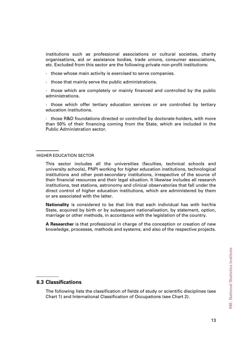institutions such as professional associations or cultural societies, charity organisations, aid or assistance bodies, trade unions, consumer associations, etc. Excluded from this sector are the following private non-profit institutions:

- · those whose main activity is exercised to serve companies.
- · those that mainly serve the public administrations.

· those which are completely or mainly financed and controlled by the public administrations.

· those which offer tertiary education services or are controlled by tertiary education institutions.

· those R&D foundations directed or controlled by doctorate-holders, with more than 50% of their financing coming from the State, which are included in the Public Administration sector.

#### HIGHER EDUCATION SECTOR

This sector includes all the universities (faculties, technical schools and university schools), PNPI working for higher education institutions, technological institutions and other post-secondary institutions, irrespective of the source of their financial resources and their legal situation. It likewise includes all research institutions, test stations, astronomy and clinical observatories that fall under the direct control of higher education institutions, which are administered by them or are associated with the latter.

**Nationality** is considered to be that link that each individual has with her/his State, acquired by birth or by subsequent nationalisation, by statement, option, marriage or other methods, in accordance with the legislation of the country.

**A Researcher** is that professional in charge of the conception or creation of new knowledge, processes, methods and systems, and also of the respective projects.

## **6.3 Classifications**

The following lists the classification of fields of study or scientific disciplines (see Chart 1) and International Classification of Occupations (see Chart 2).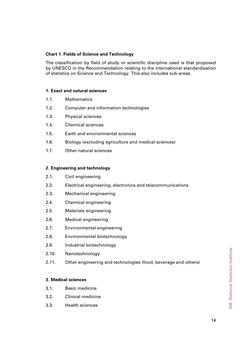## **Chart 1. Fields of Science and Technology**

The classification by field of study or scientific discipline used is that proposed by UNESCO in the Recommendation relating to the international standardisation of statistics on Science and Technology. This also includes sub-areas.

## **1. Exact and natural sciences**

- 1.1. Mathematics
- 1.2. Computer and information technologies
- 1.3. Physical sciences
- 1.4. Chemical sciences
- 1.5. Earth and environmental sciences
- 1.6. Biology (excluding agriculture and medical sciences)
- 1.7. Other natural sciences

## **2. Engineering and technology**

- 2.1. Civil engineering
- 2.2. Electrical engineering, electronics and telecommunications
- 2.3. Mechanical engineering
- 2.4. Chemical engineering
- 2.5. Materials engineering
- 2.6. Medical engineering
- 2.7. Environmental engineering
- 2.8. Environmental biotechnology
- 2.9. Industrial biotechnology
- 2.10. Nanotechnology
- 2.11. Other engineering and technologies (food, beverage and others)

## **3. Medical sciences**

- 3.1. Basic medicine
- 3.2. Clinical medicine
- 3.3. Health sciences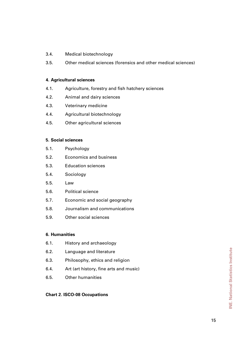- 3.4. Medical biotechnology
- 3.5. Other medical sciences (forensics and other medical sciences)

## **4. Agricultural sciences**

- 4.1. Agriculture, forestry and fish hatchery sciences
- 4.2. Animal and dairy sciences
- 4.3. Veterinary medicine
- 4.4. Agricultural biotechnology
- 4.5. Other agricultural sciences

## **5. Social sciences**

- 5.1. Psychology
- 5.2. Economics and business
- 5.3. Education sciences
- 5.4. Sociology
- 5.5. Law
- 5.6. Political science
- 5.7. Economic and social geography
- 5.8. Journalism and communications
- 5.9. Other social sciences

## **6. Humanities**

- 6.1. History and archaeology
- 6.2. Language and literature
- 6.3. Philosophy, ethics and religion
- 6.4. Art (art history, fine arts and music)
- 6.5. Other humanities

## **Chart 2. ISCO-08 Occupations**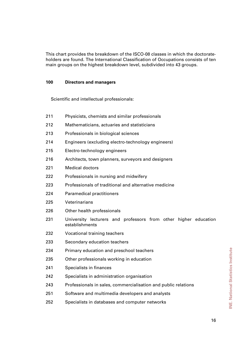This chart provides the breakdown of the ISCO-08 classes in which the doctorateholders are found. The International Classification of Occupations consists of ten main groups on the highest breakdown level, subdivided into 43 groups.

## **100 Directors and managers**

Scientific and intellectual professionals:

| 211 | Physicists, chemists and similar professionals                                    |  |  |
|-----|-----------------------------------------------------------------------------------|--|--|
| 212 | Mathematicians, actuaries and statisticians                                       |  |  |
| 213 | Professionals in biological sciences                                              |  |  |
| 214 | Engineers (excluding electro-technology engineers)                                |  |  |
| 215 | Electro-technology engineers                                                      |  |  |
| 216 | Architects, town planners, surveyors and designers                                |  |  |
| 221 | <b>Medical doctors</b>                                                            |  |  |
| 222 | Professionals in nursing and midwifery                                            |  |  |
| 223 | Professionals of traditional and alternative medicine                             |  |  |
| 224 | <b>Paramedical practitioners</b>                                                  |  |  |
| 225 | Veterinarians                                                                     |  |  |
| 226 | Other health professionals                                                        |  |  |
| 231 | University lecturers and professors from other higher education<br>establishments |  |  |
| 232 | Vocational training teachers                                                      |  |  |
| 233 | Secondary education teachers                                                      |  |  |
| 234 | Primary education and preschool teachers                                          |  |  |
| 235 | Other professionals working in education                                          |  |  |
| 241 | Specialists in finances                                                           |  |  |
| 242 | Specialists in administration organisation                                        |  |  |
| 243 | Professionals in sales, commercialisation and public relations                    |  |  |
| 251 | Software and multimedia developers and analysts                                   |  |  |
| 252 | Specialists in databases and computer networks                                    |  |  |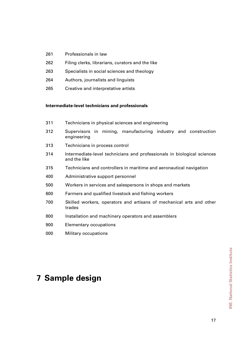- 261 Professionals in law
- 262 Filing clerks, librarians, curators and the like
- 263 Specialists in social sciences and theology
- 264 Authors, journalists and linguists
- 265 Creative and interpretative artists

## **Intermediate-level technicians and professionals**

- 311 Technicians in physical sciences and engineering
- 312 Supervisors in mining, manufacturing industry and construction engineering
- 313 Technicians in process control
- 314 Intermediate-level technicians and professionals in biological sciences and the like
- 315 Technicians and controllers in maritime and aeronautical navigation
- 400 Administrative support personnel
- 500 Workers in services and salespersons in shops and markets
- 600 Farmers and qualified livestock and fishing workers
- 700 Skilled workers, operators and artisans of mechanical arts and other trades
- 800 Installation and machinery operators and assemblers
- 900 Elementary occupations
- 000 Military occupations

# **7 Sample design**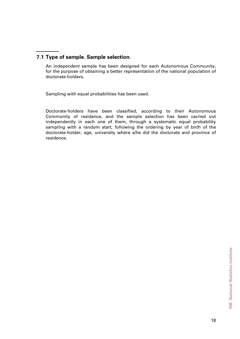## **7.1 Type of sample. Sample selection.**

An independent sample has been designed for each Autonomous Community, for the purpose of obtaining a better representation of the national population of doctorate-holders.

Sampling with equal probabilities has been used.

Doctorate-holders have been classified, according to their Autonomous Community of residence, and the sample selection has been carried out independently in each one of them, through a systematic equal probability sampling with a random start, following the ordering by year of birth of the doctorate-holder, age, university where s/he did the doctorate and province of residence.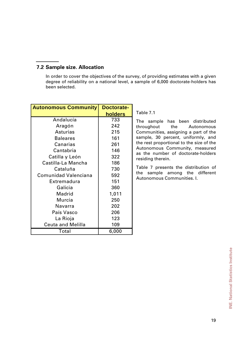## **7.2 Sample size. Allocation**

In order to cover the objectives of the survey, of providing estimates with a given degree of reliability on a national level, a sample of 6,000 doctorate-holders has been selected.

| <b>Autonomous Community</b> | <b>Doctorate-</b><br>holders |
|-----------------------------|------------------------------|
| Andalucía                   | 733                          |
| Aragón                      | 242                          |
| <b>Asturias</b>             | 215                          |
| <b>Baleares</b>             | 161                          |
| Canarias                    | 261                          |
|                             |                              |
| Cantabria                   | 146                          |
| Catilla y León              | 322                          |
| Castilla-La Mancha          | 186                          |
| Cataluña                    | 730                          |
| <b>Comunidad Valenciana</b> | 592                          |
| Extremadura                 | 151                          |
| Galicia                     | 360                          |
| Madrid                      | 1,011                        |
| Murcia                      | 250                          |
| Navarra                     | 202                          |
| País Vasco                  | 206                          |
| La Rioja                    | 123                          |
| <b>Ceuta and Melilla</b>    | 109                          |
| Total                       | 6,000                        |

Table 7.1

The sample has been distributed throughout the Autonomous Communities, assigning a part of the sample, 30 percent, uniformly, and the rest proportional to the size of the Autonomous Community, measured as the number of doctorate-holders residing therein.

Table 7 presents the distribution of the sample among the different Autonomous Communities. I.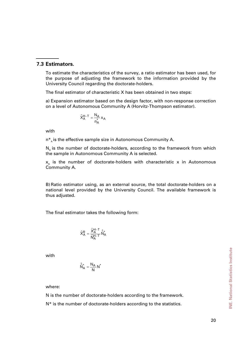## **7.3 Estimators.**

To estimate the characteristics of the survey, a ratio estimator has been used, for the purpose of adjusting the framework to the information provided by the University Council regarding the doctorate-holders.

The final estimator of characteristic X has been obtained in two steps:

a) Expansion estimator based on the design factor, with non-response correction on a level of Autonomous Community A (Horvitz-Thompson estimator).

$$
\hat{X}_A^{H-T} = \frac{N_A}{n_A^*} \, x_A
$$

with

 $n^*$  is the effective sample size in Autonomous Community A.

 $N<sub>a</sub>$  is the number of doctorate-holders, according to the framework from which the sample in Autonomous Community A is selected.

 $x_A$  is the number of doctorate-holders with characteristic x in Autonomous Community A.

B) Ratio estimator using, as an external source, the total doctorate-holders on a national level provided by the University Council. The available framework is thus adjusted.

The final estimator takes the following form:

$$
\hat{X}^R_A = \frac{\hat{X}^{H-T}_A}{\hat{N}^{H-T}_A} \hat{\hat{N}}^*_{A}
$$

with

$$
\hat{\hat{N}}_A^* = \frac{N_A}{N} N^*
$$

where:

N is the number of doctorate-holders according to the framework.

N<sup>\*</sup> is the number of doctorate-holders according to the statistics.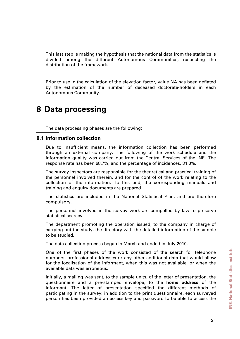This last step is making the hypothesis that the national data from the statistics is divided among the different Autonomous Communities, respecting the distribution of the framework.

Prior to use in the calculation of the elevation factor, value NA has been deflated by the estimation of the number of deceased doctorate-holders in each Autonomous Community.

## **8 Data processing**

The data processing phases are the following:

## **8.1 Information collection**

Due to insufficient means, the information collection has been performed through an external company. The following of the work schedule and the information quality was carried out from the Central Services of the INE. The response rate has been 68.7%, and the percentage of incidences, 31.3%.

The survey inspectors are responsible for the theoretical and practical training of the personnel involved therein, and for the control of the work relating to the collection of the information. To this end, the corresponding manuals and training and enquiry documents are prepared.

The statistics are included in the National Statistical Plan, and are therefore compulsory.

The personnel involved in the survey work are compelled by law to preserve statistical secrecy.

The department promoting the operation issued, to the company in charge of carrying out the study, the directory with the detailed information of the sample to be studied.

The data collection process began in March and ended in July 2010.

One of the first phases of the work consisted of the search for telephone numbers, professional addresses or any other additional data that would allow for the localisation of the informant, when this was not available, or when the available data was erroneous.

Initially, a mailing was sent, to the sample units, of the letter of presentation, the questionnaire and a pre-stamped envelope, to the **home address** of the informant. The letter of presentation specified the different methods of participating in the survey: in addition to the print questionnaire, each surveyed person has been provided an access key and password to be able to access the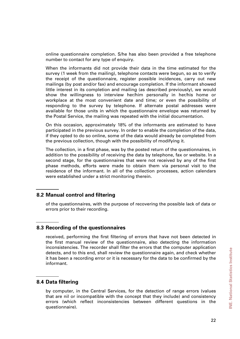online questionnaire completion. S/he has also been provided a free telephone number to contact for any type of enquiry.

When the informants did not provide their data in the time estimated for the survey (1 week from the mailing), telephone contacts were begun, so as to verify the receipt of the questionnaire, register possible incidences, carry out new mailings (by post and/or fax) and encourage completion. If the informant showed little interest in its completion and mailing (as described previously), we would show the willingness to interview her/him personally in her/his home or workplace at the most convenient date and time; or even the possibility of responding to the survey by telephone. If alternate postal addresses were available for those units in which the questionnaire envelope was returned by the Postal Service, the mailing was repeated with the initial documentation.

On this occasion, approximately 18% of the informants are estimated to have participated in the previous survey. In order to enable the completion of the data, if they opted to do so online, some of the data would already be completed from the previous collection, though with the possibility of modifying it.

The collection, in a first phase, was by the posted return of the questionnaires, in addition to the possibility of receiving the data by telephone, fax or website. In a second stage, for the questionnaires that were not received by any of the first phase methods, efforts were made to obtain them via personal visit to the residence of the informant. In all of the collection processes, action calendars were established under a strict monitoring therein.

## **8.2 Manual control and filtering**

of the questionnaires, with the purpose of recovering the possible lack of data or errors prior to their recording.

## **8.3 Recording of the questionnaires**

received, performing the first filtering of errors that have not been detected in the first manual review of the questionnaire, also detecting the information inconsistencies. The recorder shall filter the errors that the computer application detects, and to this end, shall review the questionnaire again, and check whether it has been a recording error or it is necessary for the data to be confirmed by the informant.

## **8.4 Data filtering**

by computer, in the Central Services, for the detection of range errors (values that are nil or incompatible with the concept that they include) and consistency errors (which reflect inconsistencies between different questions in the questionnaire).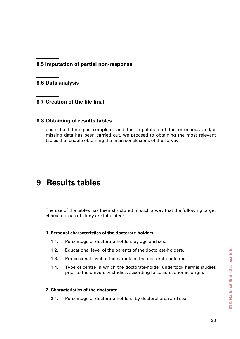**8.5 Imputation of partial non-response** 

**8.6 Data analysis** 

**8.7 Creation of the file final** 

## **8.8 Obtaining of results tables**

once the filtering is complete, and the imputation of the erroneous and/or missing data has been carried out, we proceed to obtaining the most relevant tables that enable obtaining the main conclusions of the survey.

# **9 Results tables**

The use of the tables has been structured in such a way that the following target characteristics of study are tabulated:

## **1. Personal characteristics of the doctorate-holders.**

- 1.1. Percentage of doctorate-holders by age and sex.
- 1.2. Educational level of the parents of the doctorate-holders.
- 1.3. Professional level of the parents of the doctorate-holders.
- 1.4. Type of centre in which the doctorate-holder undertook her/his studies prior to the university studies, according to socio-economic origin.

## **2. Characteristics of the doctorate.**

2.1. Percentage of doctorate-holders, by doctoral area and sex.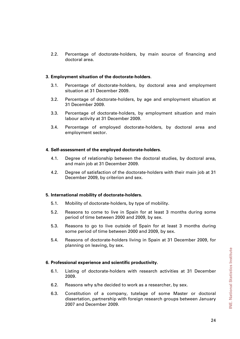2.2. Percentage of doctorate-holders, by main source of financing and doctoral area.

#### **3. Employment situation of the doctorate-holders**.

- 3.1. Percentage of doctorate-holders, by doctoral area and employment situation at 31 December 2009.
- 3.2. Percentage of doctorate-holders, by age and employment situation at 31 December 2009.
- 3.3. Percentage of doctorate-holders, by employment situation and main labour activity at 31 December 2009.
- 3.4. Percentage of employed doctorate-holders, by doctoral area and employment sector.

## **4. Self-assessment of the employed doctorate-holders.**

- 4.1. Degree of relationship between the doctoral studies, by doctoral area, and main job at 31 December 2009.
- 4.2. Degree of satisfaction of the doctorate-holders with their main job at 31 December 2009, by criterion and sex.

#### **5. International mobility of doctorate-holders.**

- 5.1. Mobility of doctorate-holders, by type of mobility.
- 5.2. Reasons to come to live in Spain for at least 3 months during some period of time between 2000 and 2009, by sex.
- 5.3. Reasons to go to live outside of Spain for at least 3 months during some period of time between 2000 and 2009, by sex.
- 5.4. Reasons of doctorate-holders living in Spain at 31 December 2009, for planning on leaving, by sex.

## **6. Professional experience and scientific productivity.**

- 6.1. Listing of doctorate-holders with research activities at 31 December 2009.
- 6.2. Reasons why s/he decided to work as a researcher, by sex.
- 6.3. Constitution of a company, tutelage of some Master or doctoral dissertation, partnership with foreign research groups between January 2007 and December 2009.